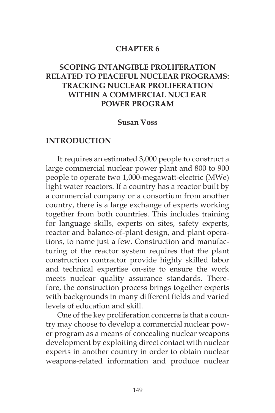### **CHAPTER 6**

## **SCOPING INTANGIBLE PROLIFERATION RELATED TO PEACEFUL NUCLEAR PROGRAMS: TRACKING NUCLEAR PROLIFERATION WITHIN A COMMERCIAL NUCLEAR POWER PROGRAM**

### **Susan Voss**

### **INTRODUCTION**

It requires an estimated 3,000 people to construct a large commercial nuclear power plant and 800 to 900 people to operate two 1,000-megawatt-electric (MWe) light water reactors. If a country has a reactor built by a commercial company or a consortium from another country, there is a large exchange of experts working together from both countries. This includes training for language skills, experts on sites, safety experts, reactor and balance-of-plant design, and plant operations, to name just a few. Construction and manufacturing of the reactor system requires that the plant construction contractor provide highly skilled labor and technical expertise on-site to ensure the work meets nuclear quality assurance standards. Therefore, the construction process brings together experts with backgrounds in many different fields and varied levels of education and skill.

One of the key proliferation concerns is that a country may choose to develop a commercial nuclear power program as a means of concealing nuclear weapons development by exploiting direct contact with nuclear experts in another country in order to obtain nuclear weapons-related information and produce nuclear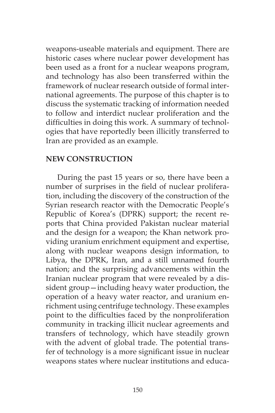weapons-useable materials and equipment. There are historic cases where nuclear power development has been used as a front for a nuclear weapons program, and technology has also been transferred within the framework of nuclear research outside of formal international agreements. The purpose of this chapter is to discuss the systematic tracking of information needed to follow and interdict nuclear proliferation and the difficulties in doing this work. A summary of technologies that have reportedly been illicitly transferred to Iran are provided as an example.

### **NEW CONSTRUCTION**

During the past 15 years or so, there have been a number of surprises in the field of nuclear proliferation, including the discovery of the construction of the Syrian research reactor with the Democratic People's Republic of Korea's (DPRK) support; the recent reports that China provided Pakistan nuclear material and the design for a weapon; the Khan network providing uranium enrichment equipment and expertise, along with nuclear weapons design information, to Libya, the DPRK, Iran, and a still unnamed fourth nation; and the surprising advancements within the Iranian nuclear program that were revealed by a dissident group—including heavy water production, the operation of a heavy water reactor, and uranium enrichment using centrifuge technology. These examples point to the difficulties faced by the nonproliferation community in tracking illicit nuclear agreements and transfers of technology, which have steadily grown with the advent of global trade. The potential transfer of technology is a more significant issue in nuclear weapons states where nuclear institutions and educa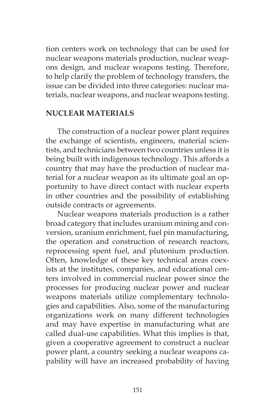tion centers work on technology that can be used for nuclear weapons materials production, nuclear weapons design, and nuclear weapons testing. Therefore, to help clarify the problem of technology transfers, the issue can be divided into three categories: nuclear materials, nuclear weapons, and nuclear weapons testing.

### **NUCLEAR MATERIALS**

The construction of a nuclear power plant requires the exchange of scientists, engineers, material scientists, and technicians between two countries unless it is being built with indigenous technology. This affords a country that may have the production of nuclear material for a nuclear weapon as its ultimate goal an opportunity to have direct contact with nuclear experts in other countries and the possibility of establishing outside contracts or agreements.

Nuclear weapons materials production is a rather broad category that includes uranium mining and conversion, uranium enrichment, fuel pin manufacturing, the operation and construction of research reactors, reprocessing spent fuel, and plutonium production. Often, knowledge of these key technical areas coexists at the institutes, companies, and educational centers involved in commercial nuclear power since the processes for producing nuclear power and nuclear weapons materials utilize complementary technologies and capabilities. Also, some of the manufacturing organizations work on many different technologies and may have expertise in manufacturing what are called dual-use capabilities. What this implies is that, given a cooperative agreement to construct a nuclear power plant, a country seeking a nuclear weapons capability will have an increased probability of having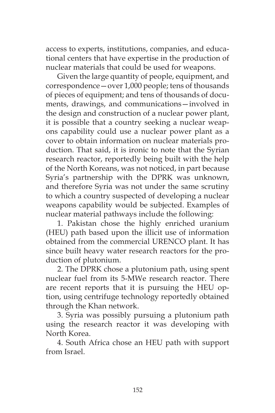access to experts, institutions, companies, and educational centers that have expertise in the production of nuclear materials that could be used for weapons.

Given the large quantity of people, equipment, and correspondence—over 1,000 people; tens of thousands of pieces of equipment; and tens of thousands of documents, drawings, and communications—involved in the design and construction of a nuclear power plant, it is possible that a country seeking a nuclear weapons capability could use a nuclear power plant as a cover to obtain information on nuclear materials production. That said, it is ironic to note that the Syrian research reactor, reportedly being built with the help of the North Koreans, was not noticed, in part because Syria's partnership with the DPRK was unknown, and therefore Syria was not under the same scrutiny to which a country suspected of developing a nuclear weapons capability would be subjected. Examples of nuclear material pathways include the following:

1. Pakistan chose the highly enriched uranium (HEU) path based upon the illicit use of information obtained from the commercial URENCO plant. It has since built heavy water research reactors for the production of plutonium.

2. The DPRK chose a plutonium path, using spent nuclear fuel from its 5-MWe research reactor. There are recent reports that it is pursuing the HEU option, using centrifuge technology reportedly obtained through the Khan network.

3. Syria was possibly pursuing a plutonium path using the research reactor it was developing with North Korea.

4. South Africa chose an HEU path with support from Israel.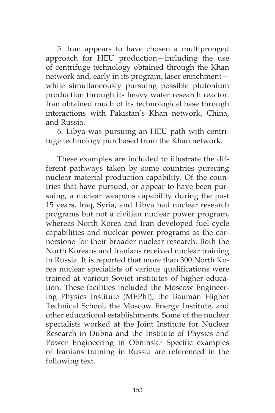5. Iran appears to have chosen a multipronged approach for HEU production—including the use of centrifuge technology obtained through the Khan network and, early in its program, laser enrichment while simultaneously pursuing possible plutonium production through its heavy water research reactor. Iran obtained much of its technological base through interactions with Pakistan's Khan network, China, and Russia.

6. Libya was pursuing an HEU path with centrifuge technology purchased from the Khan network.

These examples are included to illustrate the different pathways taken by some countries pursuing nuclear material production capability. Of the countries that have pursued, or appear to have been pursuing, a nuclear weapons capability during the past 15 years, Iraq, Syria, and Libya had nuclear research programs but not a civilian nuclear power program, whereas North Korea and Iran developed fuel cycle capabilities and nuclear power programs as the cornerstone for their broader nuclear research. Both the North Koreans and Iranians received nuclear training in Russia. It is reported that more than 300 North Korea nuclear specialists of various qualifications were trained at various Soviet institutes of higher education. These facilities included the Moscow Engineering Physics Institute (MEPhI), the Bauman Higher Technical School, the Moscow Energy Institute, and other educational establishments. Some of the nuclear specialists worked at the Joint Institute for Nuclear Research in Dubna and the Institute of Physics and Power Engineering in Obninsk.<sup>1</sup> Specific examples of Iranians training in Russia are referenced in the following text.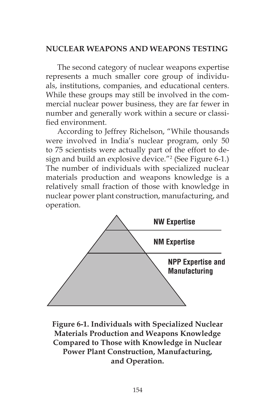## **NUCLEAR WEAPONS AND WEAPONS TESTING**

The second category of nuclear weapons expertise represents a much smaller core group of individuals, institutions, companies, and educational centers. While these groups may still be involved in the commercial nuclear power business, they are far fewer in number and generally work within a secure or classified environment.

According to Jeffrey Richelson, "While thousands were involved in India's nuclear program, only 50 to 75 scientists were actually part of the effort to design and build an explosive device."2 (See Figure 6-1.) The number of individuals with specialized nuclear materials production and weapons knowledge is a relatively small fraction of those with knowledge in nuclear power plant construction, manufacturing, and operation.



**Figure 6-1. Individuals with Specialized Nuclear Materials Production and Weapons Knowledge Compared to Those with Knowledge in Nuclear Power Plant Construction, Manufacturing, and Operation.**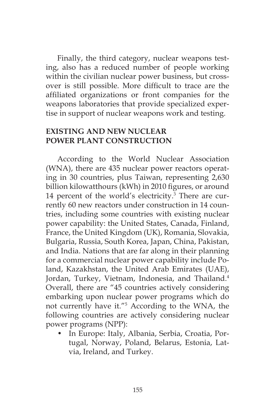Finally, the third category, nuclear weapons testing, also has a reduced number of people working within the civilian nuclear power business, but crossover is still possible. More difficult to trace are the affiliated organizations or front companies for the weapons laboratories that provide specialized expertise in support of nuclear weapons work and testing.

### **EXISTING AND NEW NUCLEAR POWER PLANT CONSTRUCTION**

According to the World Nuclear Association (WNA), there are 435 nuclear power reactors operating in 30 countries, plus Taiwan, representing 2,630 billion kilowatthours (kWh) in 2010 figures, or around 14 percent of the world's electricity.<sup>3</sup> There are currently 60 new reactors under construction in 14 countries, including some countries with existing nuclear power capability: the United States, Canada, Finland, France, the United Kingdom (UK), Romania, Slovakia, Bulgaria, Russia, South Korea, Japan, China, Pakistan, and India. Nations that are far along in their planning for a commercial nuclear power capability include Poland, Kazakhstan, the United Arab Emirates (UAE), Jordan, Turkey, Vietnam, Indonesia, and Thailand.<sup>4</sup> Overall, there are "45 countries actively considering embarking upon nuclear power programs which do not currently have it."5 According to the WNA, the following countries are actively considering nuclear power programs (NPP):

• In Europe: Italy, Albania, Serbia, Croatia, Portugal, Norway, Poland, Belarus, Estonia, Latvia, Ireland, and Turkey.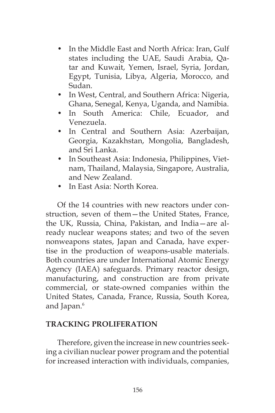- In the Middle East and North Africa: Iran, Gulf states including the UAE, Saudi Arabia, Qatar and Kuwait, Yemen, Israel, Syria, Jordan, Egypt, Tunisia, Libya, Algeria, Morocco, and Sudan.
- In West, Central, and Southern Africa: Nigeria, Ghana, Senegal, Kenya, Uganda, and Namibia.
- In South America: Chile, Ecuador, and Venezuela.
- In Central and Southern Asia: Azerbaijan, Georgia, Kazakhstan, Mongolia, Bangladesh, and Sri Lanka.
- In Southeast Asia: Indonesia, Philippines, Vietnam, Thailand, Malaysia, Singapore, Australia, and New Zealand.
- In East Asia: North Korea.

Of the 14 countries with new reactors under construction, seven of them—the United States, France, the UK, Russia, China, Pakistan, and India—are already nuclear weapons states; and two of the seven nonweapons states, Japan and Canada, have expertise in the production of weapons-usable materials. Both countries are under International Atomic Energy Agency (IAEA) safeguards. Primary reactor design, manufacturing, and construction are from private commercial, or state-owned companies within the United States, Canada, France, Russia, South Korea, and Japan.<sup>6</sup>

## **TRACKING PROLIFERATION**

Therefore, given the increase in new countries seeking a civilian nuclear power program and the potential for increased interaction with individuals, companies,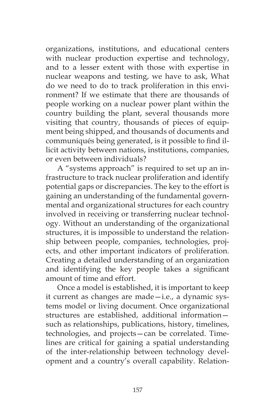organizations, institutions, and educational centers with nuclear production expertise and technology, and to a lesser extent with those with expertise in nuclear weapons and testing, we have to ask, What do we need to do to track proliferation in this environment? If we estimate that there are thousands of people working on a nuclear power plant within the country building the plant, several thousands more visiting that country, thousands of pieces of equipment being shipped, and thousands of documents and communiqués being generated, is it possible to find illicit activity between nations, institutions, companies, or even between individuals?

A "systems approach" is required to set up an infrastructure to track nuclear proliferation and identify potential gaps or discrepancies. The key to the effort is gaining an understanding of the fundamental governmental and organizational structures for each country involved in receiving or transferring nuclear technology. Without an understanding of the organizational structures, it is impossible to understand the relationship between people, companies, technologies, projects, and other important indicators of proliferation. Creating a detailed understanding of an organization and identifying the key people takes a significant amount of time and effort.

Once a model is established, it is important to keep it current as changes are made—i.e., a dynamic systems model or living document. Once organizational structures are established, additional information such as relationships, publications, history, timelines, technologies, and projects—can be correlated. Timelines are critical for gaining a spatial understanding of the inter-relationship between technology development and a country's overall capability. Relation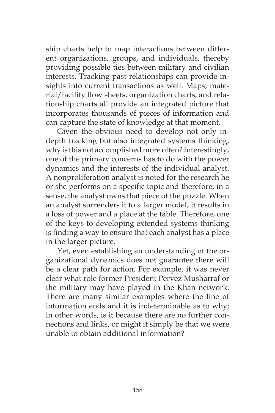ship charts help to map interactions between different organizations, groups, and individuals, thereby providing possible ties between military and civilian interests. Tracking past relationships can provide insights into current transactions as well. Maps, material/facility flow sheets, organization charts, and relationship charts all provide an integrated picture that incorporates thousands of pieces of information and can capture the state of knowledge at that moment.

Given the obvious need to develop not only indepth tracking but also integrated systems thinking, why is this not accomplished more often? Interestingly, one of the primary concerns has to do with the power dynamics and the interests of the individual analyst. A nonproliferation analyst is noted for the research he or she performs on a specific topic and therefore, in a sense, the analyst owns that piece of the puzzle. When an analyst surrenders it to a larger model, it results in a loss of power and a place at the table. Therefore, one of the keys to developing extended systems thinking is finding a way to ensure that each analyst has a place in the larger picture.

Yet, even establishing an understanding of the organizational dynamics does not guarantee there will be a clear path for action. For example, it was never clear what role former President Pervez Musharraf or the military may have played in the Khan network. There are many similar examples where the line of information ends and it is indeterminable as to why; in other words, is it because there are no further connections and links, or might it simply be that we were unable to obtain additional information?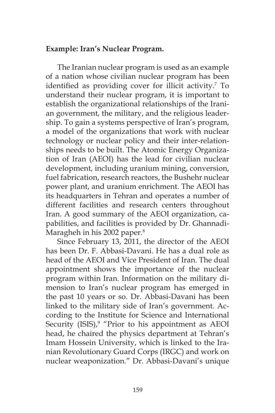### **Example: Iran's Nuclear Program.**

The Iranian nuclear program is used as an example of a nation whose civilian nuclear program has been identified as providing cover for illicit activity.<sup>7</sup> To understand their nuclear program, it is important to establish the organizational relationships of the Iranian government, the military, and the religious leadership. To gain a systems perspective of Iran's program, a model of the organizations that work with nuclear technology or nuclear policy and their inter-relationships needs to be built. The Atomic Energy Organization of Iran (AEOI) has the lead for civilian nuclear development, including uranium mining, conversion, fuel fabrication, research reactors, the Bushehr nuclear power plant, and uranium enrichment. The AEOI has its headquarters in Tehran and operates a number of different facilities and research centers throughout Iran. A good summary of the AEOI organization, capabilities, and facilities is provided by Dr. Ghannadi-Maragheh in his 2002 paper.<sup>8</sup>

Since February 13, 2011, the director of the AEOI has been Dr. F. Abbasi-Davani. He has a dual role as head of the AEOI and Vice President of Iran. The dual appointment shows the importance of the nuclear program within Iran. Information on the military dimension to Iran's nuclear program has emerged in the past 10 years or so. Dr. Abbasi-Davani has been linked to the military side of Iran's government. According to the Institute for Science and International Security (ISIS),<sup>9</sup> "Prior to his appointment as AEOI head, he chaired the physics department at Tehran's Imam Hossein University, which is linked to the Iranian Revolutionary Guard Corps (IRGC) and work on nuclear weaponization." Dr. Abbasi-Davani's unique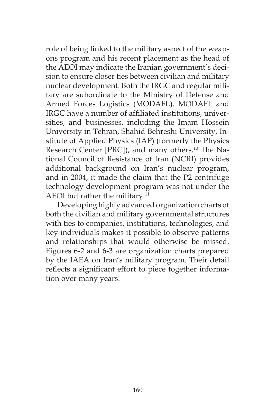role of being linked to the military aspect of the weapons program and his recent placement as the head of the AEOI may indicate the Iranian government's decision to ensure closer ties between civilian and military nuclear development. Both the IRGC and regular military are subordinate to the Ministry of Defense and Armed Forces Logistics (MODAFL). MODAFL and IRGC have a number of affiliated institutions, universities, and businesses, including the Imam Hossein University in Tehran, Shahid Behreshi University, Institute of Applied Physics (IAP) (formerly the Physics Research Center [PRC]), and many others.<sup>10</sup> The National Council of Resistance of Iran (NCRI) provides additional background on Iran's nuclear program, and in 2004, it made the claim that the P2 centrifuge technology development program was not under the AEOI but rather the military.<sup>11</sup>

Developing highly advanced organization charts of both the civilian and military governmental structures with ties to companies, institutions, technologies, and key individuals makes it possible to observe patterns and relationships that would otherwise be missed. Figures 6-2 and 6-3 are organization charts prepared by the IAEA on Iran's military program. Their detail reflects a significant effort to piece together information over many years.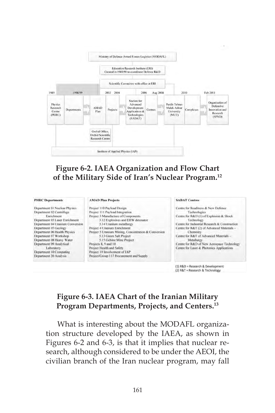

## **Figure 6-2. IAEA Organization and Flow Chart of the Military Side of Iran's Nuclear Program.12**

### **PHRC** Departments

Department 01 Nuclear Physics Department 02 Centrifuge Enrichment Department 03 Laser Enrichment Department 04 Uranium Conversion Department 05 Geology Department 06 Health Physics Department 07 Workshop Department 08 Heavy Water Department 09 Analytical Laboratory Department 10 Computing

Department 20 Analysis

#### **AMAD Plan Projects**

Project 110 Payload Design Project 111 Payload Integration Project 3 Manufacture of Components 3.12 Explosives and EBW detonator 3.14 Uranium metallurgy Project 4 Uranium Enrichment Project 5 Uranium Mining, Concentration & Conversion 5.13 Green Salt Project 5.15 Gehine Mine Project Projects 8, 9 and 10 Project Health and Safety Project 19 Involvement of IAP Project/Group 117 Procurement and Supply

### **SADAT Centres** Centre for Readiness & New Defence Technologies Centre for R&D (1) of Explosion & Shock Technology Centre for Industrial Research & Construction Centre for R&T (2) of Advanced Materials -Chemisiry Centre for R&T of Advanced Materials -Metallurgy Centre for R&D of New Aerospace Technology Centre for Laser & Photonics Applications

(1) R&D = Research & Development (2) R&T = Research & Technology

# **Figure 6-3. IAEA Chart of the Iranian Military Program Departments, Projects, and Centers.13**

What is interesting about the MODAFL organization structure developed by the IAEA, as shown in Figures 6-2 and 6-3, is that it implies that nuclear research, although considered to be under the AEOI, the civilian branch of the Iran nuclear program, may fall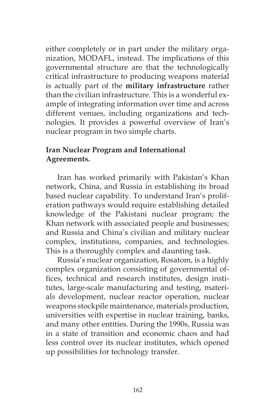either completely or in part under the military organization, MODAFL, instead. The implications of this governmental structure are that the technologically critical infrastructure to producing weapons material is actually part of the **military infrastructure** rather than the civilian infrastructure. This is a wonderful example of integrating information over time and across different venues, including organizations and technologies. It provides a powerful overview of Iran's nuclear program in two simple charts.

## **Iran Nuclear Program and International Agreements.**

Iran has worked primarily with Pakistan's Khan network, China, and Russia in establishing its broad based nuclear capability. To understand Iran's proliferation pathways would require establishing detailed knowledge of the Pakistani nuclear program; the Khan network with associated people and businesses; and Russia and China's civilian and military nuclear complex, institutions, companies, and technologies. This is a thoroughly complex and daunting task.

Russia's nuclear organization, Rosatom, is a highly complex organization consisting of governmental offices, technical and research institutes, design institutes, large-scale manufacturing and testing, materials development, nuclear reactor operation, nuclear weapons stockpile maintenance, materials production, universities with expertise in nuclear training, banks, and many other entities. During the 1990s, Russia was in a state of transition and economic chaos and had less control over its nuclear institutes, which opened up possibilities for technology transfer.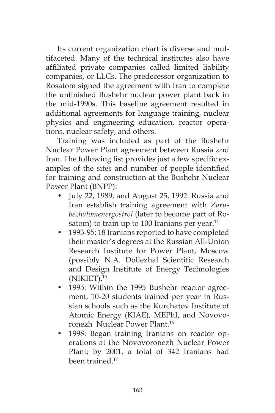Its current organization chart is diverse and multifaceted. Many of the technical institutes also have affiliated private companies called limited liability companies, or LLCs. The predecessor organization to Rosatom signed the agreement with Iran to complete the unfinished Bushehr nuclear power plant back in the mid-1990s. This baseline agreement resulted in additional agreements for language training, nuclear physics and engineering education, reactor operations, nuclear safety, and others.

Training was included as part of the Bushehr Nuclear Power Plant agreement between Russia and Iran. The following list provides just a few specific examples of the sites and number of people identified for training and construction at the Bushehr Nuclear Power Plant (BNPP):

- July 22, 1989, and August 25, 1992: Russia and Iran establish training agreement with *Zarubezhatomenergostroi* (later to become part of Rosatom) to train up to 100 Iranians per year. $14$
- 1993-95: 18 Iranians reported to have completed their master's degrees at the Russian All-Union Research Institute for Power Plant, Moscow (possibly N.A. Dollezhal Scientific Research and Design Institute of Energy Technologies (NIKIET).15
- 1995: Within the 1995 Bushehr reactor agreement, 10-20 students trained per year in Russian schools such as the Kurchatov Institute of Atomic Energy (KIAE), MEPhI, and Novovoronezh Nuclear Power Plant.16
- 1998: Began training Iranians on reactor operations at the Novovoronezh Nuclear Power Plant; by 2001, a total of 342 Iranians had been trained<sup>17</sup>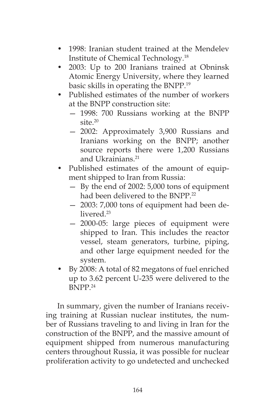- 1998: Iranian student trained at the Mendelev Institute of Chemical Technology.18
- 2003: Up to 200 Iranians trained at Obninsk Atomic Energy University, where they learned basic skills in operating the BNPP.19
- Published estimates of the number of workers at the BNPP construction site:
	- 1998: 700 Russians working at the BNPP site.20
	- 2002: Approximately 3,900 Russians and Iranians working on the BNPP; another source reports there were 1,200 Russians and Ukrainians.<sup>21</sup>
- Published estimates of the amount of equipment shipped to Iran from Russia:
	- By the end of 2002: 5,000 tons of equipment had been delivered to the BNPP.<sup>22</sup>
	- 2003: 7,000 tons of equipment had been delivered.<sup>23</sup>
	- 2000-05: large pieces of equipment were shipped to Iran. This includes the reactor vessel, steam generators, turbine, piping, and other large equipment needed for the system.
- By 2008: A total of 82 megatons of fuel enriched up to 3.62 percent U-235 were delivered to the BNPP.24

In summary, given the number of Iranians receiving training at Russian nuclear institutes, the number of Russians traveling to and living in Iran for the construction of the BNPP, and the massive amount of equipment shipped from numerous manufacturing centers throughout Russia, it was possible for nuclear proliferation activity to go undetected and unchecked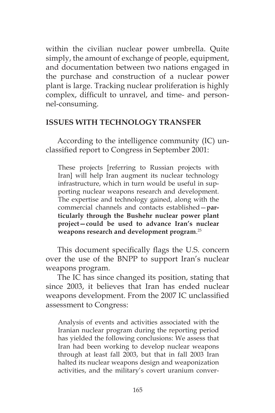within the civilian nuclear power umbrella. Quite simply, the amount of exchange of people, equipment, and documentation between two nations engaged in the purchase and construction of a nuclear power plant is large. Tracking nuclear proliferation is highly complex, difficult to unravel, and time- and personnel-consuming.

### **ISSUES WITH TECHNOLOGY TRANSFER**

According to the intelligence community (IC) unclassified report to Congress in September 2001:

These projects [referring to Russian projects with Iran] will help Iran augment its nuclear technology infrastructure, which in turn would be useful in supporting nuclear weapons research and development. The expertise and technology gained, along with the commercial channels and contacts established—**particularly through the Bushehr nuclear power plant project—could be used to advance Iran's nuclear weapons research and development program**. 25

This document specifically flags the U.S. concern over the use of the BNPP to support Iran's nuclear weapons program.

The IC has since changed its position, stating that since 2003, it believes that Iran has ended nuclear weapons development. From the 2007 IC unclassified assessment to Congress:

Analysis of events and activities associated with the Iranian nuclear program during the reporting period has yielded the following conclusions: We assess that Iran had been working to develop nuclear weapons through at least fall 2003, but that in fall 2003 Iran halted its nuclear weapons design and weaponization activities, and the military's covert uranium conver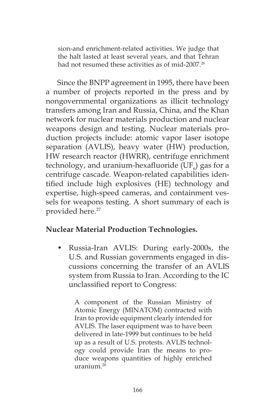sion-and enrichment-related activities. We judge that the halt lasted at least several years, and that Tehran had not resumed these activities as of mid-2007.<sup>26</sup>

Since the BNPP agreement in 1995, there have been a number of projects reported in the press and by nongovernmental organizations as illicit technology transfers among Iran and Russia, China, and the Khan network for nuclear materials production and nuclear weapons design and testing. Nuclear materials production projects include: atomic vapor laser isotope separation (AVLIS), heavy water (HW) production, HW research reactor (HWRR), centrifuge enrichment technology, and uranium-hexafluoride (UF $_{6}$ ) gas for a centrifuge cascade. Weapon-related capabilities identified include high explosives (HE) technology and expertise, high-speed cameras, and containment vessels for weapons testing. A short summary of each is provided here.<sup>27</sup>

## **Nuclear Material Production Technologies.**

• Russia-Iran AVLIS: During early-2000s, the U.S. and Russian governments engaged in discussions concerning the transfer of an AVLIS system from Russia to Iran. According to the IC unclassified report to Congress:

A component of the Russian Ministry of Atomic Energy (MINATOM) contracted with Iran to provide equipment clearly intended for AVLIS. The laser equipment was to have been delivered in late-1999 but continues to be held up as a result of U.S. protests. AVLIS technology could provide Iran the means to produce weapons quantities of highly enriched uranium. $^{28}$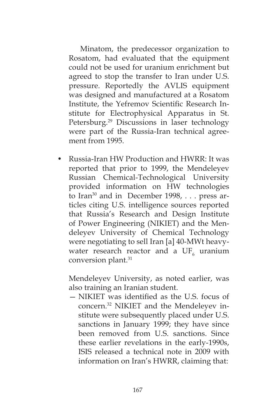Minatom, the predecessor organization to Rosatom, had evaluated that the equipment could not be used for uranium enrichment but agreed to stop the transfer to Iran under U.S. pressure. Reportedly the AVLIS equipment was designed and manufactured at a Rosatom Institute, the Yefremov Scientific Research Institute for Electrophysical Apparatus in St. Petersburg.29 Discussions in laser technology were part of the Russia-Iran technical agreement from 1995.

• Russia-Iran HW Production and HWRR: It was reported that prior to 1999, the Mendeleyev Russian Chemical-Technological University provided information on HW technologies to Iran<sup>30</sup> and in December 1998,  $\ldots$  press articles citing U.S. intelligence sources reported that Russia's Research and Design Institute of Power Engineering (NIKIET) and the Mendeleyev University of Chemical Technology were negotiating to sell Iran [a] 40-MWt heavywater research reactor and a  $UF_{6}$  uranium conversion plant.31

 Mendeleyev University, as noted earlier, was also training an Iranian student.

— NIKIET was identified as the U.S. focus of concern.32 NIKIET and the Mendeleyev institute were subsequently placed under U.S. sanctions in January 1999; they have since been removed from U.S. sanctions. Since these earlier revelations in the early-1990s, ISIS released a technical note in 2009 with information on Iran's HWRR, claiming that: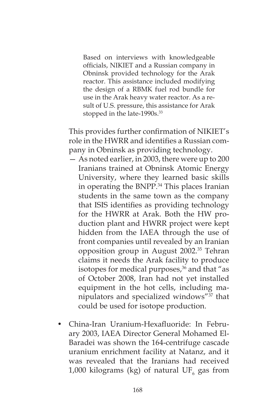Based on interviews with knowledgeable officials, NIKIET and a Russian company in Obninsk provided technology for the Arak reactor. This assistance included modifying the design of a RBMK fuel rod bundle for use in the Arak heavy water reactor. As a result of U.S. pressure, this assistance for Arak stopped in the late-1990s.<sup>33</sup>

This provides further confirmation of NIKIET's role in the HWRR and identifies a Russian company in Obninsk as providing technology.

- As noted earlier, in 2003, there were up to 200 Iranians trained at Obninsk Atomic Energy University, where they learned basic skills in operating the BNPP.<sup>34</sup> This places Iranian students in the same town as the company that ISIS identifies as providing technology for the HWRR at Arak. Both the HW production plant and HWRR project were kept hidden from the IAEA through the use of front companies until revealed by an Iranian opposition group in August 2002.35 Tehran claims it needs the Arak facility to produce isotopes for medical purposes, $36$  and that "as of October 2008, Iran had not yet installed equipment in the hot cells, including manipulators and specialized windows"37 that could be used for isotope production.
- China-Iran Uranium-Hexafluoride: In February 2003, IAEA Director General Mohamed El-Baradei was shown the 164-centrifuge cascade uranium enrichment facility at Natanz, and it was revealed that the Iranians had received 1,000 kilograms (kg) of natural  $\mathrm{UF}_6$  gas from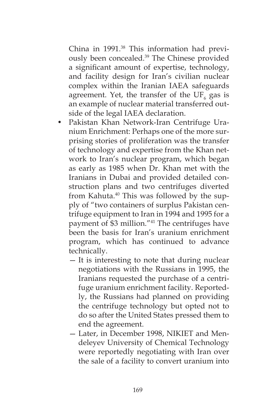China in 1991.<sup>38</sup> This information had previously been concealed.<sup>39</sup> The Chinese provided a significant amount of expertise, technology, and facility design for Iran's civilian nuclear complex within the Iranian IAEA safeguards agreement. Yet, the transfer of the  $\mathrm{UF}_6$  gas is an example of nuclear material transferred outside of the legal IAEA declaration.

- Pakistan Khan Network-Iran Centrifuge Uranium Enrichment: Perhaps one of the more surprising stories of proliferation was the transfer of technology and expertise from the Khan network to Iran's nuclear program, which began as early as 1985 when Dr. Khan met with the Iranians in Dubai and provided detailed construction plans and two centrifuges diverted from Kahuta.<sup>40</sup> This was followed by the supply of "two containers of surplus Pakistan centrifuge equipment to Iran in 1994 and 1995 for a payment of \$3 million."41 The centrifuges have been the basis for Iran's uranium enrichment program, which has continued to advance technically.
	- It is interesting to note that during nuclear negotiations with the Russians in 1995, the Iranians requested the purchase of a centrifuge uranium enrichment facility. Reportedly, the Russians had planned on providing the centrifuge technology but opted not to do so after the United States pressed them to end the agreement.
	- Later, in December 1998, NIKIET and Mendeleyev University of Chemical Technology were reportedly negotiating with Iran over the sale of a facility to convert uranium into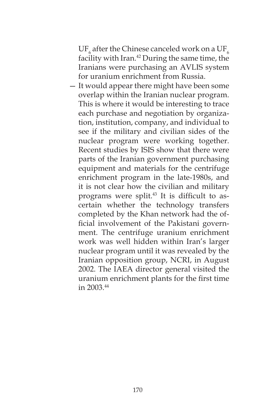UF $_{_6}$  after the Chinese canceled work on a UF $_{_6}$ facility with Iran.<sup>42</sup> During the same time, the Iranians were purchasing an AVLIS system for uranium enrichment from Russia.

— It would appear there might have been some overlap within the Iranian nuclear program. This is where it would be interesting to trace each purchase and negotiation by organization, institution, company, and individual to see if the military and civilian sides of the nuclear program were working together. Recent studies by ISIS show that there were parts of the Iranian government purchasing equipment and materials for the centrifuge enrichment program in the late-1980s, and it is not clear how the civilian and military programs were split.<sup>43</sup> It is difficult to ascertain whether the technology transfers completed by the Khan network had the official involvement of the Pakistani government. The centrifuge uranium enrichment work was well hidden within Iran's larger nuclear program until it was revealed by the Iranian opposition group, NCRI, in August 2002. The IAEA director general visited the uranium enrichment plants for the first time in 2003.44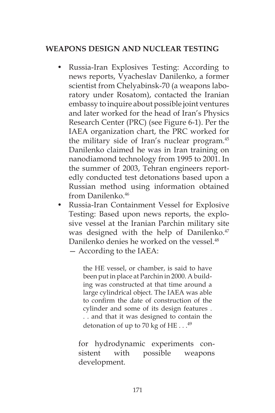# **WEAPONS DESIGN AND NUCLEAR TESTING**

- Russia-Iran Explosives Testing: According to news reports, Vyacheslav Danilenko, a former scientist from Chelyabinsk-70 (a weapons laboratory under Rosatom), contacted the Iranian embassy to inquire about possible joint ventures and later worked for the head of Iran's Physics Research Center (PRC) (see Figure 6-1). Per the IAEA organization chart, the PRC worked for the military side of Iran's nuclear program.45 Danilenko claimed he was in Iran training on nanodiamond technology from 1995 to 2001. In the summer of 2003, Tehran engineers reportedly conducted test detonations based upon a Russian method using information obtained from Danilenko.<sup>46</sup>
- Russia-Iran Containment Vessel for Explosive Testing: Based upon news reports, the explosive vessel at the Iranian Parchin military site was designed with the help of Danilenko.<sup>47</sup> Danilenko denies he worked on the vessel.<sup>48</sup> — According to the IAEA:

the HE vessel, or chamber, is said to have been put in place at Parchin in 2000. A building was constructed at that time around a large cylindrical object. The IAEA was able to confirm the date of construction of the cylinder and some of its design features . . . and that it was designed to contain the detonation of up to 70 kg of HE  $\dots$ <sup>49</sup>

 for hydrodynamic experiments consistent with possible weapons development.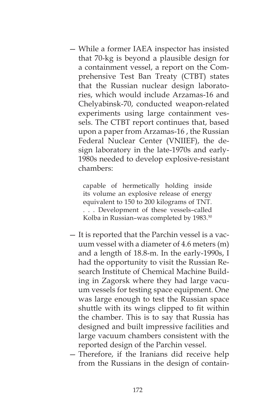— While a former IAEA inspector has insisted that 70-kg is beyond a plausible design for a containment vessel, a report on the Comprehensive Test Ban Treaty (CTBT) states that the Russian nuclear design laboratories, which would include Arzamas-16 and Chelyabinsk-70, conducted weapon-related experiments using large containment vessels. The CTBT report continues that, based upon a paper from Arzamas-16 , the Russian Federal Nuclear Center (VNIIEF), the design laboratory in the late-1970s and early-1980s needed to develop explosive-resistant chambers:

capable of hermetically holding inside its volume an explosive release of energy equivalent to 150 to 200 kilograms of TNT. . . . Development of these vessels–called Kolba in Russian-was completed by 1983.<sup>50</sup>

- It is reported that the Parchin vessel is a vacuum vessel with a diameter of 4.6 meters (m) and a length of 18.8-m. In the early-1990s, I had the opportunity to visit the Russian Research Institute of Chemical Machine Building in Zagorsk where they had large vacuum vessels for testing space equipment. One was large enough to test the Russian space shuttle with its wings clipped to fit within the chamber. This is to say that Russia has designed and built impressive facilities and large vacuum chambers consistent with the reported design of the Parchin vessel.
- Therefore, if the Iranians did receive help from the Russians in the design of contain-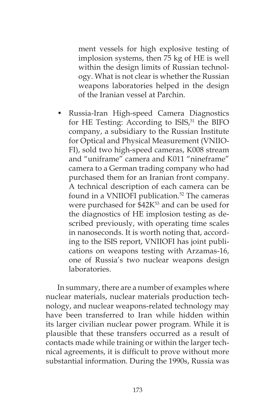ment vessels for high explosive testing of implosion systems, then 75 kg of HE is well within the design limits of Russian technology. What is not clear is whether the Russian weapons laboratories helped in the design of the Iranian vessel at Parchin.

• Russia-Iran High-speed Camera Diagnostics for HE Testing: According to ISIS,<sup>51</sup> the BIFO company, a subsidiary to the Russian Institute for Optical and Physical Measurement (VNIIO-FI), sold two high-speed cameras, K008 stream and "uniframe" camera and K011 "nineframe" camera to a German trading company who had purchased them for an Iranian front company. A technical description of each camera can be found in a VNIIOFI publication.<sup>52</sup> The cameras were purchased for \$42K<sup>53</sup> and can be used for the diagnostics of HE implosion testing as described previously, with operating time scales in nanoseconds. It is worth noting that, according to the ISIS report, VNIIOFI has joint publications on weapons testing with Arzamas-16, one of Russia's two nuclear weapons design laboratories.

In summary, there are a number of examples where nuclear materials, nuclear materials production technology, and nuclear weapons-related technology may have been transferred to Iran while hidden within its larger civilian nuclear power program. While it is plausible that these transfers occurred as a result of contacts made while training or within the larger technical agreements, it is difficult to prove without more substantial information. During the 1990s, Russia was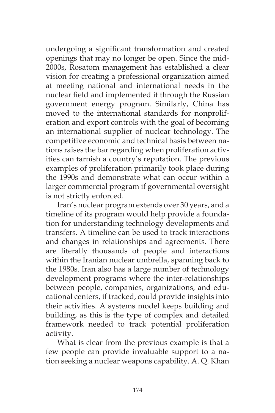undergoing a significant transformation and created openings that may no longer be open. Since the mid-2000s, Rosatom management has established a clear vision for creating a professional organization aimed at meeting national and international needs in the nuclear field and implemented it through the Russian government energy program. Similarly, China has moved to the international standards for nonproliferation and export controls with the goal of becoming an international supplier of nuclear technology. The competitive economic and technical basis between nations raises the bar regarding when proliferation activities can tarnish a country's reputation. The previous examples of proliferation primarily took place during the 1990s and demonstrate what can occur within a larger commercial program if governmental oversight is not strictly enforced.

Iran's nuclear program extends over 30 years, and a timeline of its program would help provide a foundation for understanding technology developments and transfers. A timeline can be used to track interactions and changes in relationships and agreements. There are literally thousands of people and interactions within the Iranian nuclear umbrella, spanning back to the 1980s. Iran also has a large number of technology development programs where the inter-relationships between people, companies, organizations, and educational centers, if tracked, could provide insights into their activities. A systems model keeps building and building, as this is the type of complex and detailed framework needed to track potential proliferation activity.

What is clear from the previous example is that a few people can provide invaluable support to a nation seeking a nuclear weapons capability. A. Q. Khan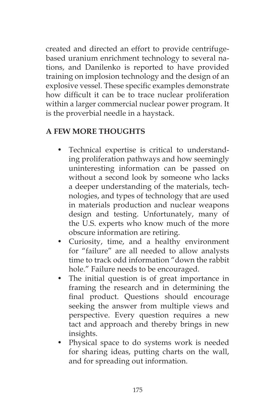created and directed an effort to provide centrifugebased uranium enrichment technology to several nations, and Danilenko is reported to have provided training on implosion technology and the design of an explosive vessel. These specific examples demonstrate how difficult it can be to trace nuclear proliferation within a larger commercial nuclear power program. It is the proverbial needle in a haystack.

# **A FEW MORE THOUGHTS**

- Technical expertise is critical to understanding proliferation pathways and how seemingly uninteresting information can be passed on without a second look by someone who lacks a deeper understanding of the materials, technologies, and types of technology that are used in materials production and nuclear weapons design and testing. Unfortunately, many of the U.S. experts who know much of the more obscure information are retiring.
- Curiosity, time, and a healthy environment for "failure" are all needed to allow analysts time to track odd information "down the rabbit hole." Failure needs to be encouraged.
- The initial question is of great importance in framing the research and in determining the final product. Questions should encourage seeking the answer from multiple views and perspective. Every question requires a new tact and approach and thereby brings in new insights.
- Physical space to do systems work is needed for sharing ideas, putting charts on the wall, and for spreading out information.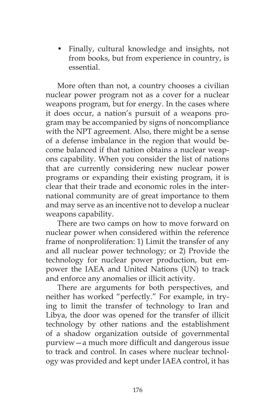• Finally, cultural knowledge and insights, not from books, but from experience in country, is essential.

More often than not, a country chooses a civilian nuclear power program not as a cover for a nuclear weapons program, but for energy. In the cases where it does occur, a nation's pursuit of a weapons program may be accompanied by signs of noncompliance with the NPT agreement. Also, there might be a sense of a defense imbalance in the region that would become balanced if that nation obtains a nuclear weapons capability. When you consider the list of nations that are currently considering new nuclear power programs or expanding their existing program, it is clear that their trade and economic roles in the international community are of great importance to them and may serve as an incentive not to develop a nuclear weapons capability.

There are two camps on how to move forward on nuclear power when considered within the reference frame of nonproliferation: 1) Limit the transfer of any and all nuclear power technology; or 2) Provide the technology for nuclear power production, but empower the IAEA and United Nations (UN) to track and enforce any anomalies or illicit activity.

There are arguments for both perspectives, and neither has worked "perfectly." For example, in trying to limit the transfer of technology to Iran and Libya, the door was opened for the transfer of illicit technology by other nations and the establishment of a shadow organization outside of governmental purview—a much more difficult and dangerous issue to track and control. In cases where nuclear technology was provided and kept under IAEA control, it has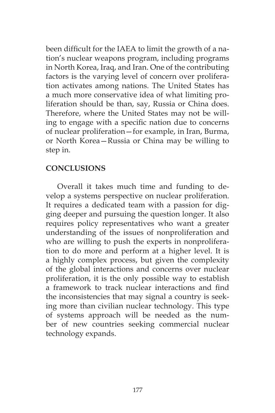been difficult for the IAEA to limit the growth of a nation's nuclear weapons program, including programs in North Korea, Iraq, and Iran. One of the contributing factors is the varying level of concern over proliferation activates among nations. The United States has a much more conservative idea of what limiting proliferation should be than, say, Russia or China does. Therefore, where the United States may not be willing to engage with a specific nation due to concerns of nuclear proliferation—for example, in Iran, Burma, or North Korea—Russia or China may be willing to step in.

## **CONCLUSIONS**

Overall it takes much time and funding to develop a systems perspective on nuclear proliferation. It requires a dedicated team with a passion for digging deeper and pursuing the question longer. It also requires policy representatives who want a greater understanding of the issues of nonproliferation and who are willing to push the experts in nonproliferation to do more and perform at a higher level. It is a highly complex process, but given the complexity of the global interactions and concerns over nuclear proliferation, it is the only possible way to establish a framework to track nuclear interactions and find the inconsistencies that may signal a country is seeking more than civilian nuclear technology. This type of systems approach will be needed as the number of new countries seeking commercial nuclear technology expands.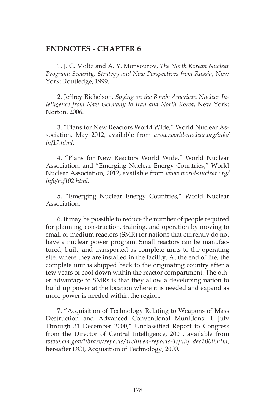### **ENDNOTES - CHAPTER 6**

1. J. C. Moltz and A. Y. Monsourov, *The North Korean Nuclear Program: Security, Strategy and New Perspectives from Russia*, New York: Routledge, 1999.

2. Jeffrey Richelson, *Spying on the Bomb: American Nuclear Intelligence from Nazi Germany to Iran and North Korea*, New York: Norton, 2006.

3. "Plans for New Reactors World Wide," World Nuclear Association, May 2012, available from *www.world-nuclear.org/info/ inf17.html*.

4. "Plans for New Reactors World Wide," World Nuclear Association; and "Emerging Nuclear Energy Countries," World Nuclear Association, 2012, available from *www.world-nuclear.org/ info/inf102.html*.

5. "Emerging Nuclear Energy Countries," World Nuclear Association.

6. It may be possible to reduce the number of people required for planning, construction, training, and operation by moving to small or medium reactors (SMR) for nations that currently do not have a nuclear power program. Small reactors can be manufactured, built, and transported as complete units to the operating site, where they are installed in the facility. At the end of life, the complete unit is shipped back to the originating country after a few years of cool down within the reactor compartment. The other advantage to SMRs is that they allow a developing nation to build up power at the location where it is needed and expand as more power is needed within the region.

7. "Acquisition of Technology Relating to Weapons of Mass Destruction and Advanced Conventional Munitions: 1 July Through 31 December 2000," Unclassified Report to Congress from the Director of Central Intelligence, 2001, available from *www.cia.gov/library/reports/archived-reports-1/july\_dec2000.htm*, hereafter DCI, Acquisition of Technology, 2000.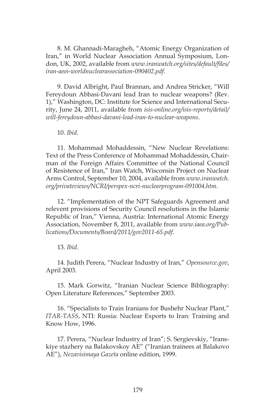8. M. Ghannadi-Maragheh, "Atomic Energy Organization of Iran," in World Nuclear Association Annual Symposium, London, UK, 2002, available from *www.iranwatch.org/sites/default/files/ iran-aeoi-worldnuclearassociation-090402.pdf.*

9. David Albright, Paul Brannan, and Andrea Stricker, "Will Fereydoun Abbasi-Davani lead Iran to nuclear weapons? (Rev. 1)," Washington, DC: Institute for Science and International Security, June 24, 2011, available from *isis-online.org/isis-reports/detail/ will-fereydoun-abbasi-davani-lead-iran-to-nuclear-weapons*.

10. *Ibid*.

11. Mohammad Mohaddessin, "New Nuclear Revelations: Text of the Press Conference of Mohammad Mohaddessin, Chairman of the Foreign Affairs Committee of the National Council of Resistence of Iran," Iran Watch, Wisconsin Project on Nuclear Arms Control, September 10, 2004, available from *www.iranwatch. org/privateviews/NCRI/perspex-ncri-nuclearprogram-091004.htm*.

12. "Implementation of the NPT Safeguards Agreement and relevent provisions of Security Council resolutions in the Islamic Republic of Iran," Vienna, Austria: International Atomic Energy Association, November 8, 2011, available from *www.iaea.org/Publications/Documents/Board/2011/gov2011-65.pdf*.

13. *Ibid*.

14. Judith Perera, "Nuclear Industry of Iran," *Opensource.gov*, April 2003.

15. Mark Gorwitz, "Iranian Nuclear Science Bibliography: Open Literature References," September 2003.

16. "Specialists to Train Iranians for Bushehr Nuclear Plant," *ITAR-TASS*, NTI: Russia: Nuclear Exports to Iran: Training and Know How, 1996.

17. Perera, "Nuclear Industry of Iran"; S. Sergievskiy, "Iranskiye stazhery na Balakovskoy AE" ("Iranian trainees at Balakovo AE"), *Nezavisimaya Gazeta* online edition, 1999.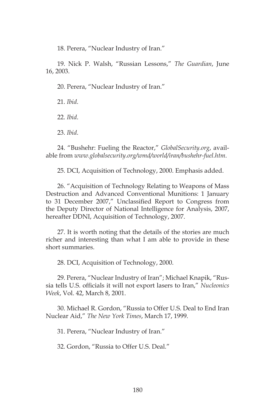18. Perera, "Nuclear Industry of Iran."

19. Nick P. Walsh, "Russian Lessons," *The Guardian*, June 16, 2003.

20. Perera, "Nuclear Industry of Iran."

21. *Ibid*.

22. *Ibid*.

23. *Ibid*.

24. "Bushehr: Fueling the Reactor," *GlobalSecurity.org*, available from *www.globalsecurity.org/wmd/world/iran/bushehr-fuel.htm*.

25. DCI, Acquisition of Technology, 2000. Emphasis added.

26. "Acquisition of Technology Relating to Weapons of Mass Destruction and Advanced Conventional Munitions: 1 January to 31 December 2007," Unclassified Report to Congress from the Deputy Director of National Intelligence for Analysis, 2007, hereafter DDNI, Acquisition of Technology, 2007.

27. It is worth noting that the details of the stories are much richer and interesting than what I am able to provide in these short summaries.

28. DCI, Acquisition of Technology, 2000.

29. Perera, "Nuclear Industry of Iran"; Michael Knapik, "Russia tells U.S. officials it will not export lasers to Iran," *Nucleonics Week*, Vol. 42, March 8, 2001.

30. Michael R. Gordon, "Russia to Offer U.S. Deal to End Iran Nuclear Aid," *The New York Times*, March 17, 1999.

31. Perera, "Nuclear Industry of Iran."

32. Gordon, "Russia to Offer U.S. Deal."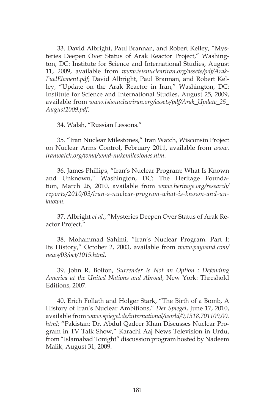33. David Albright, Paul Brannan, and Robert Kelley, "Mysteries Deepen Over Status of Arak Reactor Project," Washington, DC: Institute for Science and International Studies, August 11, 2009, available from *www.isisnucleariran.org/assets/pdf/Arak-FuelElement.pdf*; David Albright, Paul Brannan, and Robert Kelley, "Update on the Arak Reactor in Iran," Washington, DC: Institute for Science and International Studies, August 25, 2009, available from *www.isisnucleariran.org/assets/pdf/Arak\_Update\_25\_ August2009.pdf*.

34. Walsh, "Russian Lessons."

35. "Iran Nuclear Milestones," Iran Watch, Wisconsin Project on Nuclear Arms Control, February 2011, available from *www. iranwatch.org/wmd/wmd-nukemilestones.htm*.

36. James Phillips, "Iran's Nuclear Program: What Is Known and Unknown," Washington, DC: The Heritage Foundation, March 26, 2010, available from *www.heritage.org/research/ reports/2010/03/iran-s-nuclear-program-what-is-known-and-unknown*.

37. Albright *et al*., "Mysteries Deepen Over Status of Arak Reactor Project."

38. Mohammad Sahimi, "Iran's Nuclear Program. Part I: Its History," October 2, 2003, available from *www.payvand.com/ news/03/oct/1015.html*.

39. John R. Bolton, *Surrender Is Not an Option : Defending America at the United Nations and Abroad*, New York: Threshold Editions, 2007.

40. Erich Follath and Holger Stark, "The Birth of a Bomb, A History of Iran's Nuclear Ambitions," *Der Spiegel*, June 17, 2010, available from *www.spiegel.de/international/world/0,1518,701109,00. html*; "Pakistan: Dr. Abdul Qadeer Khan Discusses Nuclear Program in TV Talk Show," Karachi Aaj News Television in Urdu, from "Islamabad Tonight" discussion program hosted by Nadeem Malik, August 31, 2009.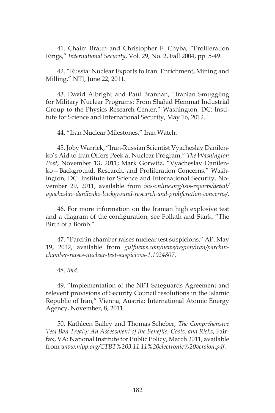41. Chaim Braun and Christopher F. Chyba, "Proliferation Rings," *International Security*, Vol. 29, No. 2, Fall 2004, pp. 5-49.

42. "Russia: Nuclear Exports to Iran: Enrichment, Mining and Milling," NTI, June 22, 2011.

43. David Albright and Paul Brannan, "Iranian Smuggling for Military Nuclear Programs: From Shahid Hemmat Industrial Group to the Physics Research Center," Washington, DC: Institute for Science and International Security, May 16, 2012.

44. "Iran Nuclear Milestones," Iran Watch.

45. Joby Warrick, "Iran-Russian Scientist Vyacheslav Danilenko's Aid to Iran Offers Peek at Nuclear Program," *The Washington Post*, November 13, 2011; Mark Gorwitz, "Vyacheslav Danilenko—Background, Research, and Proliferation Concerns," Washington, DC: Institute for Science and International Security, November 29, 2011, available from *isis-online.org/isis-reports/detail/ vyacheslav-danilenko-background-research-and-proliferation-concerns/*.

46. For more information on the Iranian high explosive test and a diagram of the configuration, see Follath and Stark, "The Birth of a Bomb."

47. "Parchin chamber raises nuclear test suspicions," AP, May 19, 2012, available from *gulfnews.com/news/region/iran/parchinchamber-raises-nuclear-test-suspicions-1.1024807*.

48. *Ibid*.

49. "Implementation of the NPT Safeguards Agreement and relevent provisions of Security Council resolutions in the Islamic Republic of Iran," Vienna, Austria: International Atomic Energy Agency, November, 8, 2011.

50. Kathleen Bailey and Thomas Scheber, *The Comprehensive Test Ban Treaty: An Assessment of the Benefits, Costs, and Risks*, Fairfax, VA: National Institute for Public Policy, March 2011, available from *www.nipp.org/CTBT%203.11.11%20electronic%20version.pdf*.